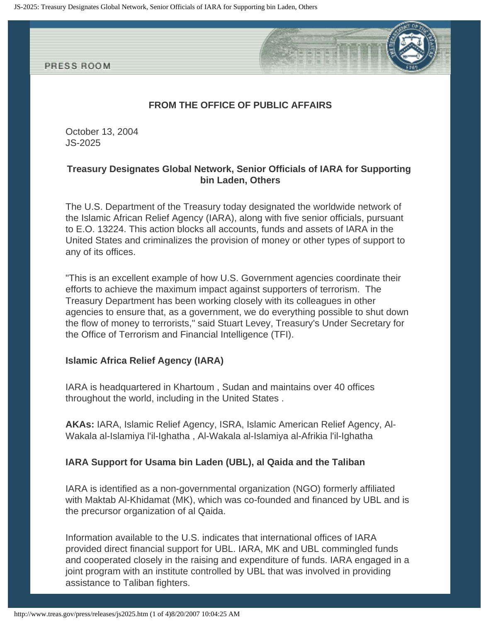

# **FROM THE OFFICE OF PUBLIC AFFAIRS**

October 13, 2004 JS-2025

## **Treasury Designates Global Network, Senior Officials of IARA for Supporting bin Laden, Others**

The U.S. Department of the Treasury today designated the worldwide network of the Islamic African Relief Agency (IARA), along with five senior officials, pursuant to E.O. 13224. This action blocks all accounts, funds and assets of IARA in the United States and criminalizes the provision of money or other types of support to any of its offices.

"This is an excellent example of how U.S. Government agencies coordinate their efforts to achieve the maximum impact against supporters of terrorism. The Treasury Department has been working closely with its colleagues in other agencies to ensure that, as a government, we do everything possible to shut down the flow of money to terrorists," said Stuart Levey, Treasury's Under Secretary for the Office of Terrorism and Financial Intelligence (TFI).

## **Islamic Africa Relief Agency (IARA)**

IARA is headquartered in Khartoum , Sudan and maintains over 40 offices throughout the world, including in the United States .

**AKAs:** IARA, Islamic Relief Agency, ISRA, Islamic American Relief Agency, Al-Wakala al-Islamiya l'il-Ighatha , Al-Wakala al-Islamiya al-Afrikia l'il-Ighatha

## **IARA Support for Usama bin Laden (UBL), al Qaida and the Taliban**

IARA is identified as a non-governmental organization (NGO) formerly affiliated with Maktab Al-Khidamat (MK), which was co-founded and financed by UBL and is the precursor organization of al Qaida.

Information available to the U.S. indicates that international offices of IARA provided direct financial support for UBL. IARA, MK and UBL commingled funds and cooperated closely in the raising and expenditure of funds. IARA engaged in a joint program with an institute controlled by UBL that was involved in providing assistance to Taliban fighters.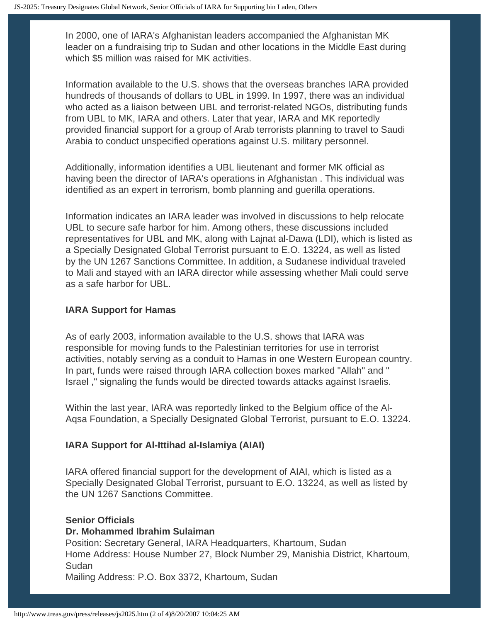In 2000, one of IARA's Afghanistan leaders accompanied the Afghanistan MK leader on a fundraising trip to Sudan and other locations in the Middle East during which \$5 million was raised for MK activities.

Information available to the U.S. shows that the overseas branches IARA provided hundreds of thousands of dollars to UBL in 1999. In 1997, there was an individual who acted as a liaison between UBL and terrorist-related NGOs, distributing funds from UBL to MK, IARA and others. Later that year, IARA and MK reportedly provided financial support for a group of Arab terrorists planning to travel to Saudi Arabia to conduct unspecified operations against U.S. military personnel.

Additionally, information identifies a UBL lieutenant and former MK official as having been the director of IARA's operations in Afghanistan . This individual was identified as an expert in terrorism, bomb planning and guerilla operations.

Information indicates an IARA leader was involved in discussions to help relocate UBL to secure safe harbor for him. Among others, these discussions included representatives for UBL and MK, along with Lajnat al-Dawa (LDI), which is listed as a Specially Designated Global Terrorist pursuant to E.O. 13224, as well as listed by the UN 1267 Sanctions Committee. In addition, a Sudanese individual traveled to Mali and stayed with an IARA director while assessing whether Mali could serve as a safe harbor for UBL.

## **IARA Support for Hamas**

As of early 2003, information available to the U.S. shows that IARA was responsible for moving funds to the Palestinian territories for use in terrorist activities, notably serving as a conduit to Hamas in one Western European country. In part, funds were raised through IARA collection boxes marked "Allah" and " Israel ," signaling the funds would be directed towards attacks against Israelis.

Within the last year, IARA was reportedly linked to the Belgium office of the Al-Aqsa Foundation, a Specially Designated Global Terrorist, pursuant to E.O. 13224.

## **IARA Support for Al-Ittihad al-Islamiya (AIAI)**

IARA offered financial support for the development of AIAI, which is listed as a Specially Designated Global Terrorist, pursuant to E.O. 13224, as well as listed by the UN 1267 Sanctions Committee.

# **Senior Officials Dr. Mohammed Ibrahim Sulaiman**

Position: Secretary General, IARA Headquarters, Khartoum, Sudan Home Address: House Number 27, Block Number 29, Manishia District, Khartoum, Sudan

Mailing Address: P.O. Box 3372, Khartoum, Sudan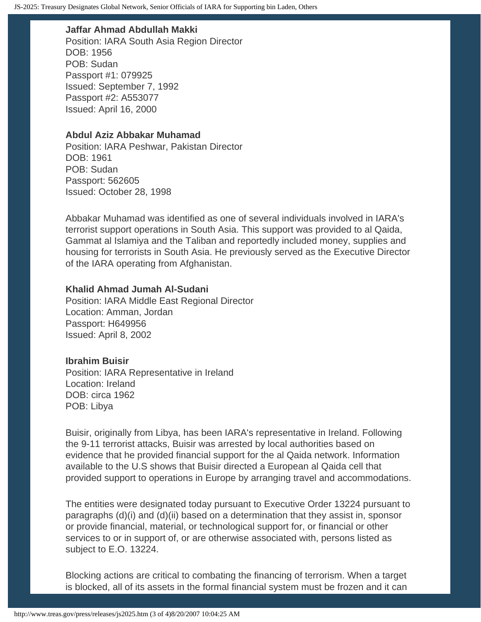### **Jaffar Ahmad Abdullah Makki**

Position: IARA South Asia Region Director DOB: 1956 POB: Sudan Passport #1: 079925 Issued: September 7, 1992 Passport #2: A553077 Issued: April 16, 2000

### **Abdul Aziz Abbakar Muhamad**

Position: IARA Peshwar, Pakistan Director DOB: 1961 POB: Sudan Passport: 562605 Issued: October 28, 1998

Abbakar Muhamad was identified as one of several individuals involved in IARA's terrorist support operations in South Asia. This support was provided to al Qaida, Gammat al Islamiya and the Taliban and reportedly included money, supplies and housing for terrorists in South Asia. He previously served as the Executive Director of the IARA operating from Afghanistan.

### **Khalid Ahmad Jumah Al-Sudani**

Position: IARA Middle East Regional Director Location: Amman, Jordan Passport: H649956 Issued: April 8, 2002

### **Ibrahim Buisir**

Position: IARA Representative in Ireland Location: Ireland DOB: circa 1962 POB: Libya

Buisir, originally from Libya, has been IARA's representative in Ireland. Following the 9-11 terrorist attacks, Buisir was arrested by local authorities based on evidence that he provided financial support for the al Qaida network. Information available to the U.S shows that Buisir directed a European al Qaida cell that provided support to operations in Europe by arranging travel and accommodations.

The entities were designated today pursuant to Executive Order 13224 pursuant to paragraphs (d)(i) and (d)(ii) based on a determination that they assist in, sponsor or provide financial, material, or technological support for, or financial or other services to or in support of, or are otherwise associated with, persons listed as subject to E.O. 13224.

Blocking actions are critical to combating the financing of terrorism. When a target is blocked, all of its assets in the formal financial system must be frozen and it can